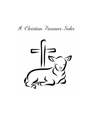A Christian Passaver Seder

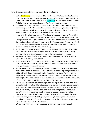Administrative suggestions--How to perform this Seder:

- Yellow highlighting is a signal for a child to ask the highlighted question. We have kids raise their hand to read the next question. This keeps them engaged and focused on the story, helps them to learn and enjoy. Blue highlighting signal everyone to read that line.
- Right-justified text are 'stage directions.' They're not meant to be read.
- We alternated readers throughout the Seder, with a leader and two adult readers having assigned parts. This successfully prevented the monotony (and burden) of one person reading the whole script. These three practiced together the week before the Seder, reading the whole script twice before the actual event.
- In our 2022 'Christian' Seder we had 7 families totaling about 30 people. We held it at on Sunday, April 10 at 4pm in a grassy backyard, with temps in the 50s and occasional wind gusts up to 30mph. (We made sure to warn people to dress warm, which they did.) Our head table had the leader, 2 readers, and Elijah's empty place. Then, we had five 6 foot tables, each with settings for 6 people. We bought 4 tables, and borrowed two tables and 30 chairs from the local American Legion.
- At the end of the Seder, we asked two fathers to responsively read the 'left' & 'right' parts. We believe this enables everyone else to focus on the message that's being spoken, rather than trying to speak the words themselves as part of a group.
- People (especially children) are frequently doing things as part of the Seder, which keeps things interesting for everyone.
- When we got to Egypt's 10 plagues, we asked for volunteers to read one of the plagues, assigning a plague number to each child or adult who raised their hand. This worked nicely, and nobody forgot their number.
- For the ceremonial lamb, we simply cut about 1 pound of Lamb roast into thin strips, sprinkled them with McCormick's Spicy Montreal Steak Seasoning, then grilled them on a BBQ grill until they were cooked medium to medium-well done. Then, we cut the strips into bite-sized cubes and refrigerated them until it was time to set the tables (the next day) for the Seder. We had six people per table, so each table got at least six cubes of roasted lamb. People raved about these delicious tasty bits.
- For the pot-luck feast we cooked two large, boneless legs of lamb in crock pots, each coated inside & out with a different spice mixture, along with potatoes, carrots, celery, and onions. We also had roasted chickens, Calypso rice, Jewish kugel casserole, mac & cheese, veggie tray, and others. Three boys enjoyed roasting kosher wieners on the campfire. One girl chose to eat mac & cheese and veggies. For desserts we had cheesecake, almond & dark chocolate cookies, baklava, eclairs, brownies, and others.
- Hosts provided gallons of Welch's grape juice, enough for everyone. A few guests brought wine, which they freely shared. During dessert, the hosts provided homemade iced tea and Starbucks 'Pike's Place' coffee.
- We gave a printed copy of this Haggadah to every person old enough to read.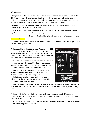## Introduction

Let us pray: Our Father in heaven, please bless us with a sense of Your presence as we celebrate this Passover Seder. Help us to understand how You deliver Your people from bondage, from ancient times up to today. Help us to respond appropriately to Your grace and love. Bless our fellowship with shalom—Your perfect peace. In Jesus' name we pray, Amen.

Welcome. Long ago, Israel's God established Passover as the first of seven festivals that He wanted His people to celebrate each year.

This Passover Seder is for adults and children of all ages. You can expect this to be a time of joyful learning, worship, and delicious feasting.

Explain that yellow highlighting is a signal for kids to ask that question.

### What is a Seder?

The Hebrew word 'Seder' simply means 'order of events.' The order of events in tonight's Seder are more than 3,400 years old.

### *The Jewish Seder*

Tonight, you'll learn about the original Passover in 1446BC, an event that included a sacrificial lamb whose blood protected the Israelites from God's judgment against the Egyptians. Every year since then, Israeli families worldwide remember this event in a Passover Seder.

A Passover Seder is traditionally celebrated in the home of one family, or a small group of families, as we're doing tonight. The father told the Passover story using symbols and object lessons to teach and entertain his children.

In Luke 22:8, Jesus sent Peter and John, saying, "Go and make preparations for us to eat the Passover." The Passover Seder we celebrate tonight will be done in basically the same order as Jesus and His disciples celebrated at the Last Supper, on the night before His crucifixion, nearly 2000 years ago.



Keeping traditional ceremonies like the Passover Seder are a big reason why the Jewish people have survived for thousands of years, while all the nations who tried to destroy them no longer exist.

### *This Christian Seder*

Tonight, in this 21<sup>st</sup> century Christian Seder, we'll learn about the historical Passover event in Egypt, and then we'll see how Jesus became the true Passover Lamb, "The Lamb of God who takes away the sins of the world."

Finally, we'll see our Lamb of God's current, heavenly position, as we look forward to His return as the King of kings over all nations.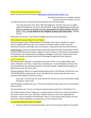What is the Ancient Passover Story?

Here's the story of the first Passover: **[BibleProject video Overview: Exodus 1-18.](https://www.youtube.com/watch?v=jH_aojNJM3E)** 

(If audio/visual setup isn't available, read the Passover story from Exodus 12:3-20.)

Just after the Passover, Yahweh declared His goal for His covenant people:

"You yourselves have seen what I did to the Egyptians, and how I bore you on eagles' wings and brought you to myself. Now therefore, if you will indeed obey my voice and keep my covenant, you shall be my treasured possession among all peoples, for all the earth is mine; and **you shall be to me a kingdom of priests and a holy nation**." (Exodus 19:4-6)

Remember this last line…"you shall be a kingdom of priests and a holy nation."

## What Does Passover Mean To Us Today?

Passover teaches us how Yahweh delivers His followers from slavery, whether it's Israel's slavery in Egypt 3,400 years ago, or our slavery to sinfulness today. In both cases, this deliverance involves sacrificing a lamb. So, Passover is relevant for both Jews and Christians.

Jewish Passover: Every year Jewish people around the world remember the liberation of their ancestors after 430 years of slavery in Egypt. For them, Passover is both historic and prophetic. It remembers Israel's deliverance from Egyptian bondage, and they also look forward to the time when Yahweh will deliver them from all bondage through their future Messiah.

#### *What is a Messiah?*

The Hebrew word "Messiah" is translated as the word "Christ" in our English Bibles. Both words, 'Messiah' and 'Christ,' simply mean "anointed one." Israel's Messiah (or Christ) is the promised deliverer who will bring freedom to Yahweh's people, establishing His kingdom of righteousness over the entire earth.

Christian Passover: Most of us tonight already believe Jesus is the Messiah, and that He is not just the Messiah for Jewish people. Jesus is the Messiah for anyone who will enter into a covenant with Yahweh in the name of Jesus.

Jesus said, "I am the way, the truth, and the life. No one can come to the Father except through me. (John 14:6)

John the Baptist testified that Jesus is "the Lamb of God who takes away the sins of the world." (John 1:29, 36)

The apostle Paul said, "Christ, our Passover Lamb has been sacrificed." (1 Corinthians 5:7)

The original Passover lamb in Egypt was a symbolic picture of what Jesus would accomplish as the Lamb of God on the cross. Therefore, I believe Passover is even more applicable for Christians—who are disciples of the Messiah—than it is to the physical descendants of Israel who haven't (yet) recognized or accepted Jesus as their Passover Lamb.

### So, what does Passover mean to us today?

1. Passover's (feast of unleavened bread) is one of the three feasts Yahweh commanded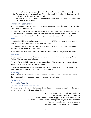His people to enjoy each year. (The other two are Pentecost and Tabernacles.)

- 2. Passover is a remembrance of how Yahweh delivered His people, both in ancient Israel and today—in the heart of every disciple.
- 3. Passover is a worshipful remembrance of Jesus' sacrifice as "the Lamb of God who takes away the sins of the world."

### Divine naming conventions

Before we start the actual Seder ceremony tonight, I want to discuss the names I'll be using for 'God the Father' and 'God the Son.'

Many people in Jewish and Messianic Christian circles have strong opinions about God's names, and how to write or pronounce them. So, if your opinion differs from mine, or if you don't believe Jesus is the Son of God, I ask for your grace on this topic during tonight's Seder.

#### *YHWH*

In our English Bibles, everywhere you see the words "the LORD," the actual Hebrew word is God the Father's personal name, which is spelled YHWH.

Since it has no vowels, there are many opinions about how to pronounce YHWH. For example: Jehovah, Yahweh, Yahovah, and Yahuah.

In this Seder I'll use the commonly-used name "Yahweh" when referring to God the Father.

#### *Jesus' Name*

There are also many opinions about how to pronounce our Savior's name, including: Jesus, Yeshua, Yahshua, Iesue, and Yehoshua.

The name 'Jesus' is fairly modern, first appearing about 400 years ago, having evolved from Aramaic to Hebrew to Greek to Latin to English.

I personally believe Jesus' family called Him Yeshua, but in this Seder I'll use the commonlyused name "Jesus," since it's the name we all know Him by.

#### *In Summary*

With all that said, I don't believe God the Father or Jesus are concerned how we pronounce their names, as long as we're saying them with a reverent attitude.

### The Passover Seder

Ceremonial Cleansing

#### *Let's remove all leaven from our presence*

To symbolize removing all the sin from our lives, I'll ask the children to search for all the leaven scattered in our midst and throw it into the fire.

> Before the Seder scatter enough small packets of yeast so that every child can find one. The leader demonstrates dropping yeast into a campfire, then supervises the children safely dropping yeast they've found into the fire. Later, the campfire can be used for cooking. After everyone returns to their seats, continue…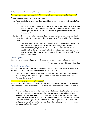On Passover we eat unleavened bread, which is called 'matzah.'

We usually eat bread with leaven in it. Why do we only eat unleavened bread on Passover?

There are two reasons we eat matzah on Passover:

1. First, historically, to remember that Israel didn't have time to leaven their bread before they left.

> Exodus 12:39 says, "Since their dough had no leaven the people baked what they had brought out of Egypt into unleavened loaves. For when they had been driven out of Egypt they could not delay and had not prepared any provisions for themselves."

2. Secondly, we remove all the leaven on Passover because leaven represents our sinful nature in the Bible. Eating unleavened bread reminds us of our new life of sincerity and truth.

> The apostle Paul wrote, "Do you not know that a little leaven works through the whole batch of dough? Get rid of the old leaven, that you may be a new unleavened batch, as you really are. For Christ, our Passover lamb, has been sacrificed. Therefore, let us keep the feast, not with the old bread, leavened with malice and wickedness, but with the unleavened bread of sincerity and of truth." (1 Corinthians 5:6-8)

### Candle Lighting

Now that we've ceremonially purged sin from our presence, our Passover Seder can begin.

A mother stands and lights a pair of candles.

#### *The Blessing over the lights:*

It is appropriate that a woman lights the Passover candles, since it was through a woman that the light of the world, our Messiah Jesus Christ, came into the world.

"Blessed are You, O Lord our God, King of the universe, who has sanctified us through faith in Jesus, our Messiah, the Light of the world, and in His name we kindle the Passover lights, Amen."

### What is the Passover Seder's Sequence?

A traditional Passover Seder is organized around the drinking of four cups of "the fruit of the vine." Each of the four cups stands for one of the four "I will" statements recorded in Exodus 6:6-7.

"I have heard the groaning of the people of Israel whom the Egyptians hold as slaves, and I have remembered my covenant. Say therefore to the people of Israel, 'I am Yahweh, and **I will bring you out** from under the burdens of the Egyptians, and **I will deliver you** from slavery to them, and **I will redeem you** with an outstretched arm and with great acts of judgment. **I will take you to be my people, and I will be your God**, and you shall know that I am Yahweh your God, who has brought you out from under the burdens of the Egyptians."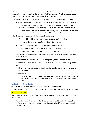For those who counted, Yahweh actually said "I will" five times in this passage. But, according to Jewish tradition the last two "I Will" statements—"I will take you to be my people and I will be your God"—are counted as a single statement.

The drinking of these four cups provides the sequence for our Passover Seder tonight.

1. The cup of **sanctification**: I will bring you out from under the yoke of the Egyptians

For us, Yahweh fulfilled this cup by "rescuing us out of the Devil's dominion of darkness, transferring us into the kingdom of His beloved Son." (Colossians 1:13)

You were washed, you were sanctified, you were justified in the name of the Lord Jesus Christ and by the Spirit of our God. (1 Corinthians 6:9-11)

2. The cup of **judgment**: I will deliver you from bondage.

Yahweh fulfilled this cup by judging Jesus on the cross for our sins.

"He was handed over to death for our sins…" (Romans 4:25)

3. The cup of **redemption**: I will redeem you with an outstretched arm.

Yahweh fulfilled this cup when He raised Jesus' body from the dead.

"He was raised to life for our justification." (Romans 4:25)

As pictured in the ritual of baptism, when Jesus was raised from the dead, we were raised with Him.

4. The cup of **praise**: I will take you to Me for a people, and I will be your God.

Jesus has now made us a kingdom, and priests to Yahweh, and we shall reign on the earth.

In this cup we'll recite the song that millions of angels in heaven are now singing to praise the Lamb of God.

Jesus promised,

"To the one who overcomes, I will grant the right to sit with Me on My throne, just as I overcame and sat down with My Father on His throne." (Revelation 3:21)

### The First Cup - Sanctification

Let's prepare our cups for drinking the first cup—the cup of sanctification.

To prepare your cup, pour juice or wine into your cup, as if you were preparing to 'toast' with it.

### What is sanctification?

Sanctification is a big word that simply means to set something apart, make it different, or make it holy.

• For ancient Israel, this meant Yahweh would make them His nation. He made them different from all the other nations—Israel became Yahweh's chosen people, called to be "a holy nation."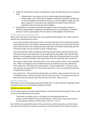- Today, for the followers of Jesus, sanctification means the same thing, but on a spiritual level.
	- o Yahweh doesn't just take us out of an earthly king's physical kingdom.
	- $\circ$  Yahweh takes us out of the Devil's kingdom of darkness and death, transferring us into the kingdom of His beloved Son Jesus, into His kingdom of light, life, and glory. He gives us a new spirit now, along with the hope of eternal life and authority in the promised land of His kingdom.
- Sanctification is the process whereby God makes us holy, like Himself. Holiness is defined as being perfect in goodness and righteousness, so sanctification is Yahweh's process to make us good people, fit to be citizens in the kingdom of God forever.

### You are clean, but not every one of you.

We're now at the point in the Seder when Jesus washed all the disciples' feet. Here's how the apostle John remembered this event:

It was now just before the Passover Feast, and Jesus knew that His hour had come to leave this world and return to the Father. Having loved His own who were in the world, He loved them to the very end. The evening meal was underway, and the devil had already put into the heart of Judas, the son of Simon Iscariot, to betray Jesus.

Jesus knew that the Father had delivered all things into His hands, and that He had come from God and was returning to God. So, Jesus got up from the supper, laid aside His outer garments, and wrapped a towel around His waist. After that, He poured water into a basin and began to wash the disciples' feet and dry them with the towel that was around Him.

Jesus came to Simon Peter, who said to him, "Lord, do you wash my feet?" Jesus answered him, "What I am doing you do not understand now, but afterward you will understand." Peter said to him, "You shall never wash my feet." Jesus answered him, "If I do not wash you, you have no share with me." Simon Peter said to him, "Lord, not my feet only but also my hands and my head!"

Jesus said to him, "The one who has bathed does not need to wash, except for his feet, but is completely clean. And you are clean, but not every one of you." For he knew who was to betray him; that was why he said, "Not all of you are clean." (John 13:1-11)

### *Symbolic Handwashing*

Don't panic, we're not planning to wash feet tonight. But, in a few moments I'm going to invite everyone to join me in ceremonially washing our hands.

#### Why do we wash our hands?

The first step a person can make toward Yahweh is to admit they have dirty hands. That is, each one of us must admit that we've sinned.

"[if](https://biblehub.com/greek/1437.htm) [we walk](https://biblehub.com/greek/4043.htm) [in](https://biblehub.com/greek/1722.htm) [the](https://biblehub.com/greek/3588.htm) [light](https://biblehub.com/greek/5457.htm) [as](https://biblehub.com/greek/5613.htm) [He](https://biblehub.com/greek/846.htm) [is](https://biblehub.com/greek/1510.htm) [in](https://biblehub.com/greek/1722.htm) [the](https://biblehub.com/greek/3588.htm) [light,](https://biblehub.com/greek/5457.htm) [we have](https://biblehub.com/greek/2192.htm) [fellowship](https://biblehub.com/greek/2842.htm) [with](https://biblehub.com/greek/3326.htm) [one](https://biblehub.com/greek/240.htm)  [another,](https://biblehub.com/greek/240.htm) [and](https://biblehub.com/greek/2532.htm) [the](https://biblehub.com/greek/3588.htm) [blood](https://biblehub.com/greek/129.htm) [of Jesus](https://biblehub.com/greek/2424.htm) [His](https://biblehub.com/greek/846.htm) [Son](https://biblehub.com/greek/5207.htm) [cleanses](https://biblehub.com/greek/2511.htm) [us](https://biblehub.com/greek/1473.htm) [from](https://biblehub.com/greek/575.htm) [all](https://biblehub.com/greek/3956.htm) [sin.](https://biblehub.com/greek/266.htm) If we say we have no sin, we deceive ourselves, and the truth is not in us." 1 Jn 1:7

Our children just removed the leaven from our presence, which represents our sinful nature, but since we've sinned in our past our conscience can still condemns us for some of our past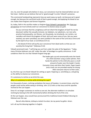sins. So, even for people who believe in Jesus, our conscience must be cleansed before we can feel clean—before we can believe that we're 'good enough' to enter Yahweh's presence.

This ceremonial handwashing represents how we wash away our guilt, not because we're good enough, but because the sacrificed Lamb of God is good enough, and applying His blood to our sins makes them forgiven and forever forgotten.

So, today, faith in His sacrifice makes us forgiven from Yahweh's perspective. But, from our perspective we must actively wash our conscience to cleanse-away our guilt.

Do you not know that the unrighteous will not inherit the kingdom of God? Do not be deceived: neither the sexually immoral, nor idolaters, nor adulterers, nor men who practice homosexuality, nor thieves, nor the greedy, nor drunkards, nor revilers, nor swindlers will inherit the kingdom of God. And such were some of you. But you were washed, you were sanctified, you were justified in the name of the Lord Jesus Christ and by the Spirit of our God. (1 Corinthians 6:9-11)

"…the blood of Christ will purify your conscience from dead works so that you can worship the living God." (Hebrews 9:14)

Yahweh promised Israel, "I will bring you out from under the yoke of the Egyptians." Today, many Christian believers are still 'under the yoke' of bondage to a guilty conscience. It still condemns them for sins that Yahweh forgave long ago.

> The leader gets up and ceremonially wets the hands of a child volunteer using a water pitcher, then hands the pitcher to the child who pours a small amount of water over the leader's hands. Everyone rinses and dries their hands. Paper towels and a trash can are provided nearby for drying. After everyone returns to their seats…

So, this first cup is to thank Yahweh for setting us apart, forgiving us, sanctifying us, and giving us the ability to cleanse our conscience.

It's customary to recline as we drink the cups.

Why is it customary to recline while drinking the cups?"

For thousands of years, reclining symbolizes the luxury of freedom. In ancient times, only free people could recline while eating or drinking. John 13:12 tells us that Jesus and His apostles reclined at the Last Supper.

Since it's no longer customary to recline as we eat, the alternate tradition is to simulate reclining by leaning to the left momentarily before drinking the fruit of the vine.

At the Last Supper, Jesus would have pronounced this traditional Jewish Kiddush blessing (in Hebrew) over the cup:

Baruch ahta Adonai, elohaynu melech ha-olam, bo-ray paree ha-gafen. Amen.

Let's all say this blessing together in English.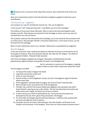All: Blessed are You, O Lord our God, King of the universe, who created the fruit of the vine. Amen.

Now, let's momentarily recline to the left (and then straighten upright) to drink the cup of sanctification.

# The Second Cup - Judgment

Let's prepare our cups for drinking the second cup—the cup of judgment.

In the second "I will" statement God said, "I will deliver you from their bondage."

The children of Israel were slaves 430 years. After so much time they had forgotten what freedom was like. They'd grown accustomed to their bondage as slaves, just as we were all accustomed to our lives as sinners.

The Israelites could not free themselves from bondage, just as we could not free ourselves from our sinful nature. Only through Yahweh's miraculous deliverance, in the name of Jesus, can we be freed from this bondage.

Both in Israel's deliverance and in ours, Yahweh's deliverance is preceded by His judgment.

### The Ten Plagues

In the case of ancient Israel, Yahweh sent Moses to Pharoah 10 times to command him to let the people of Israel go. Nine times Pharoah refused. But, after the  $10^{th}$  plague—the death of every Egyptian firstborn—Pharoah finally relented.

Each of the 10 plagues targeted one of Egypt's false gods, humiliating them by their powerlessness against Yahweh, proving that He alone is the Almighty God.

> Ask for volunteers to read one of the plagues, assigning a plague number to each child or adult who raised their hand.

The ten plagues included:

- 1. Turning all the waters of Egypt into blood
- 2. Frogs that covered the whole land
- 3. Gnats on men and beasts
- 4. Swarms of flies in all the Egyptians' houses, but not in the Egyptian region of Goshen where Israel lived
- 5. All the Egyptians' livestock died of a plague, but none of Israel's livestock died
- 6. Boils and open sores covered the skin of all the Egyptians
- 7. Thunder, hail, and fire from heaven killed every Egyptian man and beast who didn't heed Yahweh's warning to stay under shelter. The hail also destroyed every plant and broke every tree in Egypt, but there was no hail in Goshen.
- 8. A swarm of locusts so thick it darkened the sky. The locusts ate every plant not destroyed by the hail. Not a green thing remained in all of Egypt.
- 9. For three days all of Egypt experienced total darkness; a 'darkness that could be felt,' but there was light for Israel in Goshen.
- 10. The death of every first-born child and beast, from the firstborn of Pharoah to the firstborn of the prisoner in the dungeon. There was not a house where someone wasn't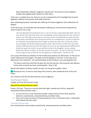dead. Meanwhile, Yahweh's judgment "passed over" the houses of every obedient Israelite who applied lamb's blood over their doors.

A full cup is a symbol of our joy. And yet, our joy is tempered by the knowledge that innocent Egyptians suffered in the process that made Israel free.

Jews celebrating Passover remember the suffering of innocent Egyptians who suffered the 10 plagues.

In the same way, we remember the tremendous suffering our innocent Savior experienced when He died to set us free.

"He was despised and rejected by men, a man of sorrows, acquainted with grief. Like one from whom men hide their faces, He was despised, and we esteemed Him not. Surely He took on our infirmities and carried our sorrows; yet we considered Him stricken by God, struck down and afflicted. But He was pierced for our transgressions, He was crushed for our iniquities; the punishment that brought us peace was upon Him, and by His stripes we are healed. We all like sheep have gone astray, each one has turned to his own way; and the LORD has laid upon Him the iniquity of us all. He was oppressed and afflicted, yet He did not open His mouth. He was led like a lamb to the slaughter, and as a sheep before her shearers is silent, so He did not open His mouth… He was cut off from the land of the living; He was stricken for the transgression of My people." (Isaiah 53:3-8)

Let us pray: We thank you Yahweh, for the terrible price paid for our deliverance. In the case of Israel's deliverance from Egypt—the death of all the Egyptians' first-born. In the case of our deliverance from sinfulness—the sacrificial death of your firstborn, your only-begotten Son.

"For God so loved the world that He gave His one and only Son, that everyone who believes in Him shall not perish but have everlasting life." (John 3:16)

Baruch ahta Adonai, elohaynu melech ha-olam, bo-ray paree ha-gafen. Amen.

All: Blessed are You, O Lord our God, King of the universe, who created the fruit of the vine. Amen.

Let's recline to the left and then drink the Cup of Judgment.

## Two Passover Meals

Tonight, we'll eat two Passover meals.

Why will we eat two Passover meals?

Exodus 12:8 says, "They are to eat the lamb that night, roasted over the fire, along with unleavened bread and bitter herbs."

- 1. So, first we'll eat a ritual meal that includes a token amount of the three required elements: roasted lamb, unleavened bread, and bitter herbs.
- 2. Then, we'll enjoy the Feast of Unleavened Bread. This is a full dinner feast, in fellowship with Yahweh and each other.

### *The Ritual Passover Meal*

Our ritual Passover meal includes roasted lamb, unleavened bread, and bitter herbs.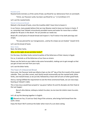#### Roasted Lamb

Roasted lamb reminds us of the Lamb of God, sacrificed for our deliverance from sin and death.

"Christ, our Passover Lamb, has been sacrificed for us." (1 Corinthians 5:7)

Let's eat the roasted lamb.

#### Matzah (Unleavened Bread)

Matzah is the bread of haste, since the Israelites didn't have time to leaven it.

In our future, many people believe that we may likewise need to leave our homes in haste. If so, remember how Yahweh miraculously provided manna and water for more than a million people for 40 years in the desert. He can provide our needs too.

Break off a small piece of matzah bread and inspect it. You'll notice it has both piercings and stripes.

"He was pierced for our transgressions…and by His stripes we are healed." (Isaiah 53:5)

Let's eat the bread of haste.

Bitter Herbs Next, the bitter herbs.

Why, on this night, do we eat bitter herbs?"

For the Jews, the bitter herbs remind Israelites of the bitterness of their slavery in Egypt.

For us, it reminds us of the bitterness of our lives as sinners.

Please use the herb on your table to dip some horseradish, making sure to get enough so that you get at least one tear from your eyes.

Let's eat the bitter herbs.

## The Feast of Unleavened Bread

Every year, the Passover lamb was killed at 3pm on the 14<sup>th</sup> day of the first month of the Jewish calendar. Then, just after sunset, each family would ceremonially eat the roasted lamb, bitter herbs, and matzah bread, as we just did, followed by a feast with all sorts of other good foods.

And so, having fulfilled the requirement to eat the three ceremonial foods, we can now enjoy feasting at Yahweh's table.

This is how Jesus would have prayed to 'say grace' before He and His disciples ate their food at the Last Supper:

Baruch ahta Adonai, elohaynu melech ha-olam, ka-mo-tzee leh-chehm meen ha-aretz. Amen.

Let's all say this blessing together in English.

All: Blessed are You, O Lord our God, King of the universe, who brings forth bread from the earth. Amen.

Enjoy the feast! We'll continue the Seder when most of us are done eating.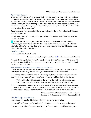30-60 minute break for feasting and fellowship.

### *Blessing after the meal*

Deuteronomy 8:7-10 says, "Yahweh your God is bringing you into a good land, a land of brooks and fountains and springs that flow through the valleys and hills; land of wheat, barley, vines, fig trees, and pomegranates; a land of olive oil and honey; land where you will eat food without scarcity, where you will lack nothing; a land whose rocks are iron and whose hills are ready to be mined for copper. When you eat and are satisfied, you are to bless Yahweh your God for the good land that He has given you."

If you have eaten and are satisfied, please join me in giving thanks for the food and 'the good land' He has given us.

The following blessing is a small portion (in English) of the ancient Jewish blessing called the Birkat Ha-mazone:

All: "For all, Yahweh our God, we thank You and bless You. May Your name be blessed continuously forever by the mouth of all the living. As it is written, 'And you shall eat and be satisfied and bless Yahweh your God for the good land which He gave you.' Blessed are You, Yahweh, for the land and for the food."

### The Matzah Tash

This is a ceremonial 'Matzah Tash.'

The leader stands to display a Matza[h Tash](https://www.amazon.com/matzah-cover/s?k=matzah+cover) while a reader reads this part.

The Matzah Tash symbolizes "echad," which (in Hebrew) means 'one,' but you'll notice that it has three sections inside it. For us, these three sections represent the 'three in one' trinity of Father, Son, and Holy Spirit.

### *Jesus is represented by the central third of the Matzah Tash*

There is unleavened bread in each of the three parts of the Matzah Tash. The matzah in the central part, representing the Son of God, is traditionally called 'the Afikomen.'

The meaning of the word 'Afikomen' is lost in antiquity, but many scholars believe it comes from a root word meaning "I have come," and it refers to the Messiah. King David wrote:

"Then I said, Behold, I have come. In the scroll of the book it is written about me: I delight to do Your will, O My God. Your law is within My heart." (Psalm 40:7-8)

For thousands of years, without knowing why, Jewish fathers removed the Afikomen matzah and broke it in two. The first half was replaced into the center of the Matzah Tash. The second half was wrapped inside a small cloth and hidden, to be discovered by the children later.

> The leader performs this action as it's read, then gives the small cloth to someone who will discreetly hide it.

## The Third Cup - Redemption

Let's prepare our cups for drinking the third cup—the cup of Redemption.

In the third "I will" statement Yahweh said, "I will redeem you with an outstretched arm."

This cup refers to Yahweh's promise that He Himself would redeem Israel from slavery. The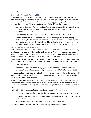word 'redeem' means to ransom by payment.

# Redemption Through Sacrificial Blood

In ancient Israel, God told them to use the blood of innocent Passover lambs to protect them from the final plague—the death of the firstborn. This was a symbolic picture of how Yahweh would later redeem His people from their slavery to sin by paying the price that was necessary to obtain their freedom. This price was the blood of Yahweh's own Son, Jesus.

Leviticus 17:11 states, "For the life of the flesh is in the blood, and I have given it to you upon the altar to make atonement for your souls; for it is the blood that makes atonement for the soul."

"Without the shedding of blood there is no forgiveness of sins." (Hebrews 9:22)

"And Jesus took a cup, and when he had given thanks he gave it to them, saying, "Drink of it, all of you, for this is my blood of the covenant, which is poured out for many for the forgiveness of sins. I tell you, I will not drink again of this fruit of the vine until that day when I drink it new with you in my Father's kingdom." (Matthew 26:27-29)

### Former and Renewed Covenants

Under the former (Mosaic) covenant that Yahweh made with Israel on Mount Sinai in 1446BC, Israel's sins were covered by the blood of bulls and goats. This former covenant was only a temporary, symbolic solution to cover the sins of just one nation until Yahweh could complete His plan to redeem all of mankind through the blood of His Son Jesus.

Unfortunately, Israel broke the former covenant many times, resulting in Yahweh casting Israel out of their land in 70AD, and the complete desolation of their physical temple in Jerusalem.

The apostle Paul wrote:

After supper Jesus took the cup, saying, ""This cup is the renewed covenant in My blood; do this, as often as you drink it, in remembrance of Me." (1 Corinthians 11:25)

In the renewed covenant, Jesus is the Lamb of God who takes away the sins of the whole world. And, through faith in His sacrifice, our sins are not just temporarily covered; they are totally, 100% forgiven, and forever removed.

As Jesus stated, when we drink this third cup it symbolizes our entering into a blood covenant with Yahweh, a renewed covenant, sealed in Jesus' blood. If we are faithful to this covenant, our sins are now and forever forgiven, and we are 'born again' to forever share His resurrection life.

Psalm 103:10-12 is a great comfort for those in covenant with Yahweh. It says:

"He does not punish us for all our sins; he does not deal harshly with us, as we deserve.

For his unfailing love toward those who fear him is as great as the height of the heavens above the earth.

He has removed our sins as far from us as the east is from the west."

Baruch ahta Adonai, elohaynu melech ha-olam, bo-ray paree ha-gafen. Amen.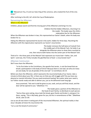All: "Blessed are You, O Lord our God, King of the universe, who created the fruit of the vine. Amen."

After reclining to the left, let's drink the Cup of Redemption.

Ransoming the Afikomen Where is the Afikomen?

Children, please search and find the missing part of the Afikomen and bring it to me.

Children find the hidden Afikomen, returning it to the Leader. The leader pays the child a redemption fee for the Afikomen. When the Afikomen was broken in two, this represented our Savior's death, when His body was broken for us.

Hiding the Afikomen represented His burial in the earth, hidden for three days. Reuniting the Afikomen with the original piece represents our Savior's resurrection.

> The leader removes the half-piece of matzah from the middle part of the Matzah Tash. He holds it up alongside the Afikomen piece to show them reunited as one, then returns both halves into the center part of the Matzah Tash.

Think of it—the three parts of the Matzah Tash represent our triune God—Father, Son, and Spirit—and now, this Trinity includes the glorified Son of God—a resurrected man!"

## Afikomen Communion

We'll now share the Afikomen.

"In his first letter to the Corinthians, the apostle Paul wrote…is not the bread that we break a participation in the body of Christ? Because there is one loaf, we who are many are one body; for we all partake [of](https://biblehub.com/greek/1537.htm) [the](https://biblehub.com/greek/3588.htm) one loaf." (1 Corinthians 10:17)

Before we share the Afikomen, which represents the resurrected body of our Savior, take a minute to think about your life. Is there any sin that you still struggle with? Do you have any physical or mental infirmities? Do you need emotional healing? No matter what your need is, our Father stands ready and able to deliver you, just as He delivered Israel long ago.

Jesus promised, "Ask and it shall be given to you; seek, and you will find; knock, and the door will be opened to you." (Matthew 7:7)

The leader gives a portion of the Afikomen to the head of each family, to distribute to each person. "And as they were eating, Jesus took the bread, gave thanks and broke it, and gave it to them, saying, "This is My body, given for you; do this in remembrance of Me." (Matthew 26:26, Luke 22:19)

Just as we all now share in eating part of the resurrected Afikomen, the spiritual reality is that Jesus' disciples all share His resurrection life.

"Let us eat the bread of communion."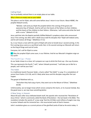# Calling Elijah

You've probably noticed there is an empty place at our table.

### Why is there an empty seat at your table?

This place is set for Elijah, who will come before Jesus' return in our future. About 400BC, the prophet Malachi wrote,

"Behold, I will send you Elijah the prophet before the coming of the great and awesome Day of Yahweh. And he will turn the hearts of the fathers to their children, and the hearts of the children to their fathers. Otherwise, I will come and strike the land with a curse." (Malachi 4:5-6)

Jesus said that John the Baptist partially fulfilled Malachi's prophecy when John announced Jesus' first coming, but after John's death Jesus told His disciples that "Elijah will indeed come, and he will restore all things." (Matthew 17:11)

So, in our future a man with the spirit of Elijah will come to herald Jesus' second coming. In His first coming Jesus came as a sacrificial Lamb. But, in His second coming our Messiah will return as the King of Kings and Lord of Lords.

Everyone, let's call for Elijah to come.

All: May the prophet Elijah come soon, in our lifetime. And let our Messiah's kingdom reign on the earth!

### The Fourth Cup – Praise

As our Seder draws to a close, let's prepare our cups to drink the final cup—the cup of praise.

This cup represents the fourth "I will," where Yahweh promised, "I will take you to Me for a people, and I will be your God."

## The Hallel

In a traditional Jewish Passover Seder, a hymn called "the Hallel" is sung. It's a compilation of verses from Psalms 113-118, and it's likely what Jesus and His disciples sang after the Last Supper.

The gospel of Matthew tells us,

"And when they had sung a hymn, they went out to the Mount of Olives." (Matthew 26:30)

Unfortunately, we no longer know which verses comprise this hymn, or its musical melody. But, the good news is, we now have something better.

# A New Song, in Heaven

About 60 years after Jesus defeated death itself, the apostle John received the "Revelation of Jesus Christ," which is commonly called the Book of Revelation—the last book in the Bible. This revelation includes the words of 'a new song' that the 24 Elders and millions of angels now sing to praise Yahweh and His immortal Son—the resurrected Lamb of God in heaven.

John's revelation gives us a current picture of the glorified Lamb of God as He exists today. It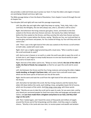also provides a valid and timely way to praise our God. It's how the elders and angels in heaven are worshiping Yahweh and Jesus right now.

The Bible passage below is from the Book of Revelation, from chapter 4 verse 8 through the end of chapter five.

Two disciples (left and right) will now read this passage responsively.

Left: Day after day and night after night they keep on saying, "Holy, Holy, Holy, is the Lord God, the Almighty, the one who always was, who is, and who is still to come."

Right: And whenever the living creatures give glory, honor, and thanks to the One seated on the throne who lives forever and ever, the twenty-four elders fall down before the One seated on the throne, and they worship Him who lives forever and ever. They cast their crowns before the throne, saying: "Worthy are You, our Lord and God, to receive glory and honor and power, for You created all things; by Your will they exist and came to be."

Left: "Then I saw in the right hand of Him who was seated on the throne a scroll written on both sides, sealed with seven seals.

Right: And I saw a mighty angel proclaiming with a loud voice, "Who is worthy to open the scroll and break its seals?"

Left: And no one in heaven or on earth or under the earth was able to open the scroll, or to look into it, and I began to weep loudly because no one was found worthy to open the scroll or to look into it.

Right: And one of the elders said to me, "Weep no more; behold, **the Lion of the tribe of Judah, the Root of David, has conquered**, so that he can open the scroll and its seven seals."

Left: And between the throne and the four living creatures and among the elders **I saw a Lamb standing, as though it had been slain**, with seven horns and with seven eyes, which are the seven spirits of God sent out into all the earth.

Right: And he went and took the scroll from the right hand of him who was seated on the throne.

Left: And when he had taken the scroll, the four living creatures and the twenty-four elders fell down before the Lamb, each holding a harp, and golden bowls full of incense, which are the prayers of the saints. And they sang a new song, with these words:

Right: "Worthy are you to take the scroll and to open its seals, for you were slain, and by your blood you ransomed people for God from every tribe and language and people and nation, and **you have made them a kingdom and priests to our God, and they shall reign on the earth.**"

Left: Then I looked again, and I heard the voices of thousands and millions of angels around the throne and of the living beings and the elders. And they sang in a mighty chorus:, "Worthy is the Lamb who was slain, to receive power and wealth and wisdom